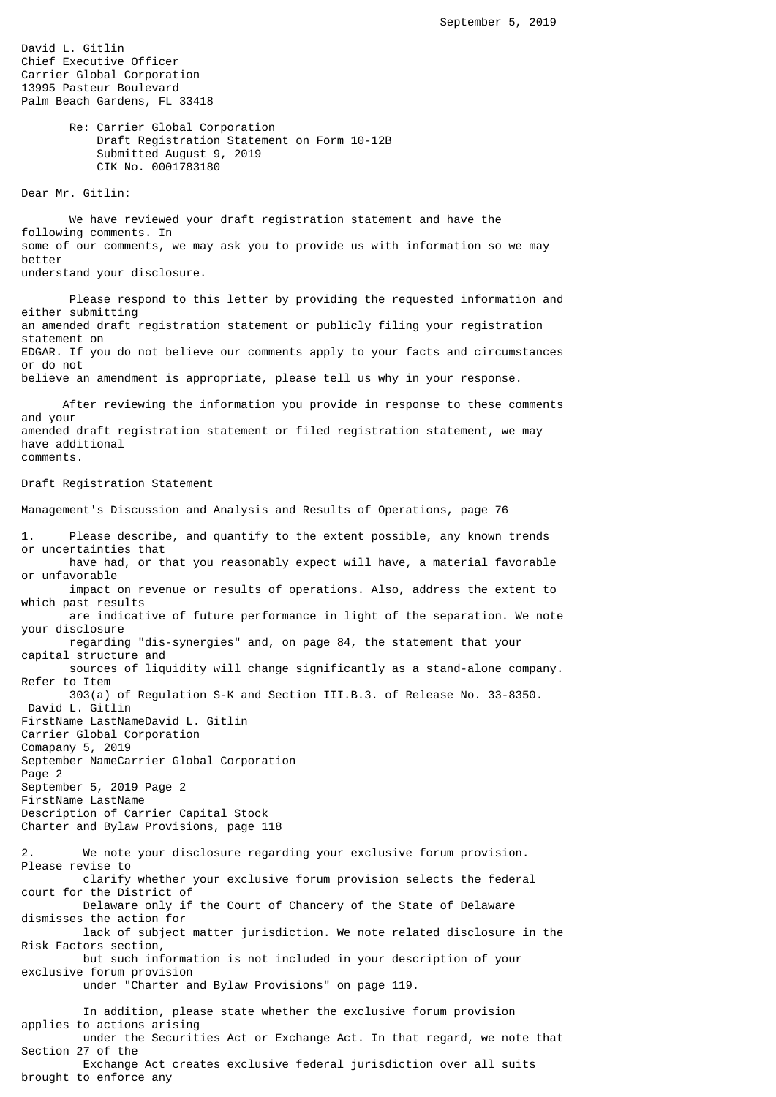David L. Gitlin Chief Executive Officer Carrier Global Corporation 13995 Pasteur Boulevard Palm Beach Gardens, FL 33418

> Re: Carrier Global Corporation Draft Registration Statement on Form 10-12B Submitted August 9, 2019 CIK No. 0001783180

Dear Mr. Gitlin:

 We have reviewed your draft registration statement and have the following comments. In some of our comments, we may ask you to provide us with information so we may better understand your disclosure.

 Please respond to this letter by providing the requested information and either submitting an amended draft registration statement or publicly filing your registration statement on EDGAR. If you do not believe our comments apply to your facts and circumstances or do not believe an amendment is appropriate, please tell us why in your response.

 After reviewing the information you provide in response to these comments and your amended draft registration statement or filed registration statement, we may have additional comments.

Draft Registration Statement

brought to enforce any

Management's Discussion and Analysis and Results of Operations, page 76

1. Please describe, and quantify to the extent possible, any known trends or uncertainties that have had, or that you reasonably expect will have, a material favorable or unfavorable impact on revenue or results of operations. Also, address the extent to which past results are indicative of future performance in light of the separation. We note your disclosure regarding "dis-synergies" and, on page 84, the statement that your capital structure and sources of liquidity will change significantly as a stand-alone company. Refer to Item 303(a) of Regulation S-K and Section III.B.3. of Release No. 33-8350. David L. Gitlin FirstName LastNameDavid L. Gitlin Carrier Global Corporation Comapany 5, 2019 September NameCarrier Global Corporation Page 2 September 5, 2019 Page 2 FirstName LastName Description of Carrier Capital Stock Charter and Bylaw Provisions, page 118 2. We note your disclosure regarding your exclusive forum provision. Please revise to clarify whether your exclusive forum provision selects the federal court for the District of Delaware only if the Court of Chancery of the State of Delaware dismisses the action for lack of subject matter jurisdiction. We note related disclosure in the Risk Factors section, but such information is not included in your description of your exclusive forum provision under "Charter and Bylaw Provisions" on page 119. In addition, please state whether the exclusive forum provision applies to actions arising under the Securities Act or Exchange Act. In that regard, we note that Section 27 of the Exchange Act creates exclusive federal jurisdiction over all suits